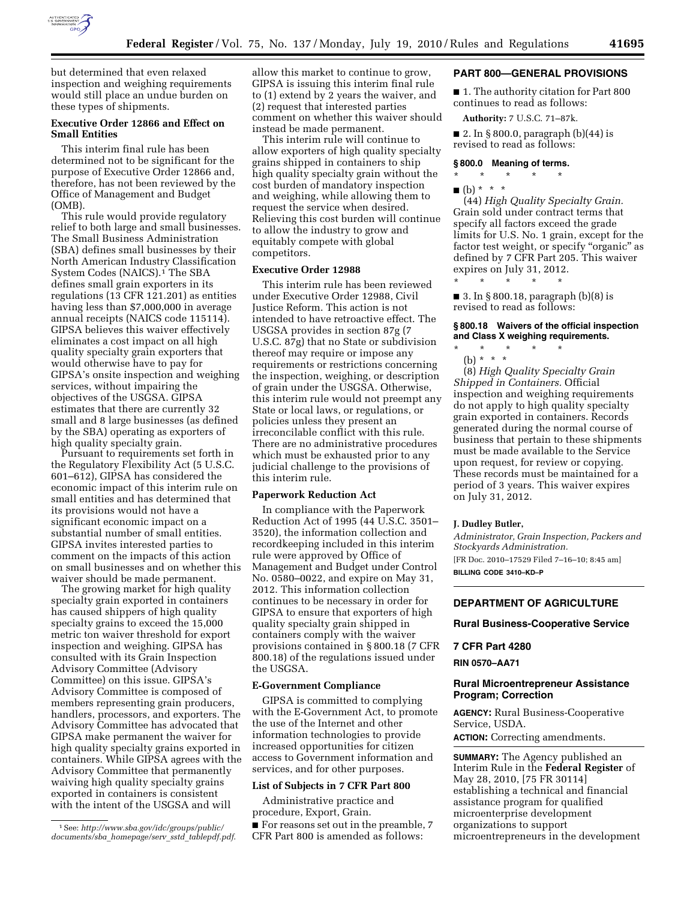

but determined that even relaxed inspection and weighing requirements would still place an undue burden on these types of shipments.

# **Executive Order 12866 and Effect on Small Entities**

This interim final rule has been determined not to be significant for the purpose of Executive Order 12866 and, therefore, has not been reviewed by the Office of Management and Budget (OMB).

This rule would provide regulatory relief to both large and small businesses. The Small Business Administration (SBA) defines small businesses by their North American Industry Classification System Codes (NAICS).1 The SBA defines small grain exporters in its regulations (13 CFR 121.201) as entities having less than \$7,000,000 in average annual receipts (NAICS code 115114). GIPSA believes this waiver effectively eliminates a cost impact on all high quality specialty grain exporters that would otherwise have to pay for GIPSA's onsite inspection and weighing services, without impairing the objectives of the USGSA. GIPSA estimates that there are currently 32 small and 8 large businesses (as defined by the SBA) operating as exporters of high quality specialty grain.

Pursuant to requirements set forth in the Regulatory Flexibility Act (5 U.S.C. 601–612), GIPSA has considered the economic impact of this interim rule on small entities and has determined that its provisions would not have a significant economic impact on a substantial number of small entities. GIPSA invites interested parties to comment on the impacts of this action on small businesses and on whether this waiver should be made permanent.

The growing market for high quality specialty grain exported in containers has caused shippers of high quality specialty grains to exceed the 15,000 metric ton waiver threshold for export inspection and weighing. GIPSA has consulted with its Grain Inspection Advisory Committee (Advisory Committee) on this issue. GIPSA's Advisory Committee is composed of members representing grain producers, handlers, processors, and exporters. The Advisory Committee has advocated that GIPSA make permanent the waiver for high quality specialty grains exported in containers. While GIPSA agrees with the Advisory Committee that permanently waiving high quality specialty grains exported in containers is consistent with the intent of the USGSA and will

allow this market to continue to grow, GIPSA is issuing this interim final rule to (1) extend by 2 years the waiver, and (2) request that interested parties comment on whether this waiver should instead be made permanent.

This interim rule will continue to allow exporters of high quality specialty grains shipped in containers to ship high quality specialty grain without the cost burden of mandatory inspection and weighing, while allowing them to request the service when desired. Relieving this cost burden will continue to allow the industry to grow and equitably compete with global competitors.

#### **Executive Order 12988**

This interim rule has been reviewed under Executive Order 12988, Civil Justice Reform. This action is not intended to have retroactive effect. The USGSA provides in section 87g (7 U.S.C. 87g) that no State or subdivision thereof may require or impose any requirements or restrictions concerning the inspection, weighing, or description of grain under the USGSA. Otherwise, this interim rule would not preempt any State or local laws, or regulations, or policies unless they present an irreconcilable conflict with this rule. There are no administrative procedures which must be exhausted prior to any judicial challenge to the provisions of this interim rule.

# **Paperwork Reduction Act**

In compliance with the Paperwork Reduction Act of 1995 (44 U.S.C. 3501– 3520), the information collection and recordkeeping included in this interim rule were approved by Office of Management and Budget under Control No. 0580–0022, and expire on May 31, 2012. This information collection continues to be necessary in order for GIPSA to ensure that exporters of high quality specialty grain shipped in containers comply with the waiver provisions contained in § 800.18 (7 CFR 800.18) of the regulations issued under the USGSA.

# **E-Government Compliance**

GIPSA is committed to complying with the E-Government Act, to promote the use of the Internet and other information technologies to provide increased opportunities for citizen access to Government information and services, and for other purposes.

# **List of Subjects in 7 CFR Part 800**

Administrative practice and procedure, Export, Grain. ■ For reasons set out in the preamble, 7 CFR Part 800 is amended as follows:

#### **PART 800—GENERAL PROVISIONS**

■ 1. The authority citation for Part 800 continues to read as follows:

**Authority:** 7 U.S.C. 71–87k.

■ 2. In § 800.0, paragraph (b)(44) is revised to read as follows:

# **§ 800.0 Meaning of terms.**

- \* \* \* \* \*
- (b) \* \* \*

(44) *High Quality Specialty Grain.*  Grain sold under contract terms that specify all factors exceed the grade limits for U.S. No. 1 grain, except for the factor test weight, or specify "organic" as defined by 7 CFR Part 205. This waiver expires on July 31, 2012. \* \* \* \* \*

■ 3. In § 800.18, paragraph (b)(8) is revised to read as follows:

#### **§ 800.18 Waivers of the official inspection and Class X weighing requirements.**

\* \* \* \* \* (b) \* \* \*

(8) *High Quality Specialty Grain Shipped in Containers.* Official inspection and weighing requirements do not apply to high quality specialty grain exported in containers. Records generated during the normal course of business that pertain to these shipments must be made available to the Service upon request, for review or copying. These records must be maintained for a period of 3 years. This waiver expires on July 31, 2012.

#### **J. Dudley Butler,**

*Administrator, Grain Inspection, Packers and Stockyards Administration.*  [FR Doc. 2010–17529 Filed 7–16–10; 8:45 am] **BILLING CODE 3410–KD–P** 

#### **DEPARTMENT OF AGRICULTURE**

**Rural Business-Cooperative Service** 

#### **7 CFR Part 4280**

**RIN 0570–AA71** 

# **Rural Microentrepreneur Assistance Program; Correction**

**AGENCY:** Rural Business-Cooperative Service, USDA. **ACTION:** Correcting amendments.

**SUMMARY:** The Agency published an Interim Rule in the **Federal Register** of May 28, 2010, [75 FR 30114] establishing a technical and financial assistance program for qualified microenterprise development organizations to support microentrepreneurs in the development

<sup>1</sup>See: *http://www.sba.gov/idc/groups/public/ documents/sba*\_*homepage/serv*\_*sstd*\_*tablepdf.pdf*.